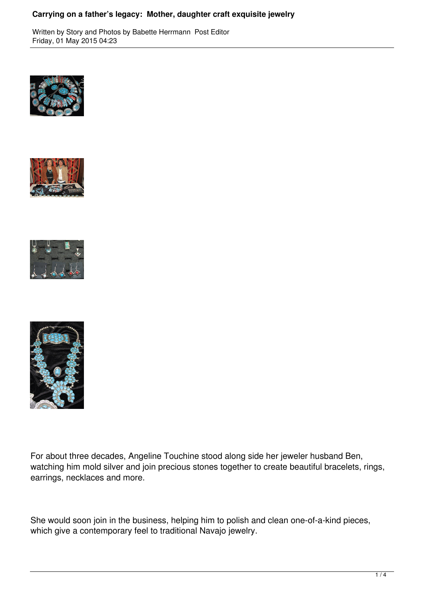Written by Story and Photos by Babette Herrmann Post Editor Friday, 01 May 2015 04:23









For about three decades, Angeline Touchine stood along side her jeweler husband Ben, watching him mold silver and join precious stones together to create beautiful bracelets, rings, earrings, necklaces and more.

She would soon join in the business, helping him to polish and clean one-of-a-kind pieces, which give a contemporary feel to traditional Navajo jewelry.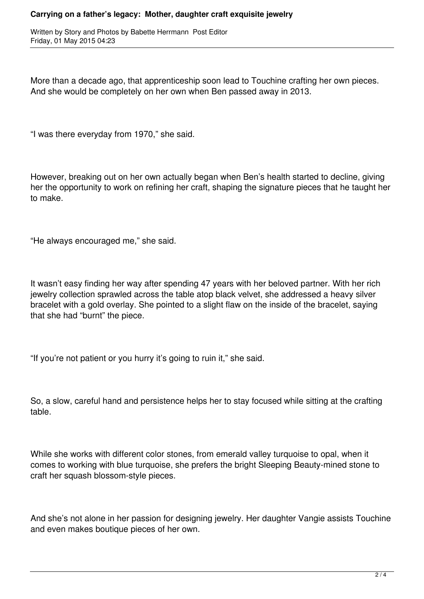Written by Story and Photos by Babette Herrmann Post Editor Friday, 01 May 2015 04:23

More than a decade ago, that apprenticeship soon lead to Touchine crafting her own pieces. And she would be completely on her own when Ben passed away in 2013.

"I was there everyday from 1970," she said.

However, breaking out on her own actually began when Ben's health started to decline, giving her the opportunity to work on refining her craft, shaping the signature pieces that he taught her to make.

"He always encouraged me," she said.

It wasn't easy finding her way after spending 47 years with her beloved partner. With her rich jewelry collection sprawled across the table atop black velvet, she addressed a heavy silver bracelet with a gold overlay. She pointed to a slight flaw on the inside of the bracelet, saying that she had "burnt" the piece.

"If you're not patient or you hurry it's going to ruin it," she said.

So, a slow, careful hand and persistence helps her to stay focused while sitting at the crafting table.

While she works with different color stones, from emerald valley turquoise to opal, when it comes to working with blue turquoise, she prefers the bright Sleeping Beauty-mined stone to craft her squash blossom-style pieces.

And she's not alone in her passion for designing jewelry. Her daughter Vangie assists Touchine and even makes boutique pieces of her own.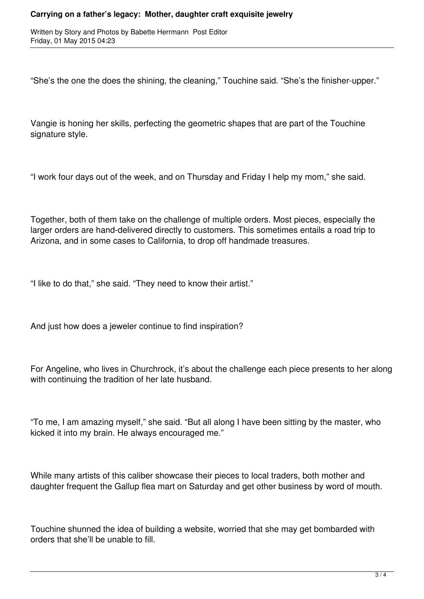Written by Story and Photos by Babette Herrmann Post Editor Friday, 01 May 2015 04:23

"She's the one the does the shining, the cleaning," Touchine said. "She's the finisher-upper."

Vangie is honing her skills, perfecting the geometric shapes that are part of the Touchine signature style.

"I work four days out of the week, and on Thursday and Friday I help my mom," she said.

Together, both of them take on the challenge of multiple orders. Most pieces, especially the larger orders are hand-delivered directly to customers. This sometimes entails a road trip to Arizona, and in some cases to California, to drop off handmade treasures.

"I like to do that," she said. "They need to know their artist."

And just how does a jeweler continue to find inspiration?

For Angeline, who lives in Churchrock, it's about the challenge each piece presents to her along with continuing the tradition of her late husband.

"To me, I am amazing myself," she said. "But all along I have been sitting by the master, who kicked it into my brain. He always encouraged me."

While many artists of this caliber showcase their pieces to local traders, both mother and daughter frequent the Gallup flea mart on Saturday and get other business by word of mouth.

Touchine shunned the idea of building a website, worried that she may get bombarded with orders that she'll be unable to fill.